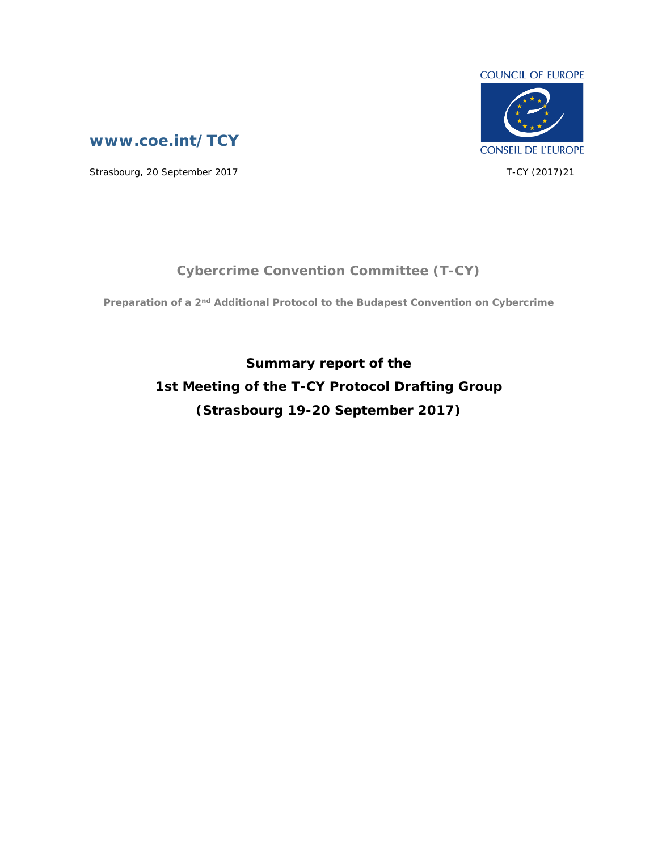

**[www.coe.int/TCY](http://www.coe.int/TCY)**

Strasbourg, 20 September 2017 T-CY (2017)21

## **Cybercrime Convention Committee (T-CY)**

**Preparation of a 2nd Additional Protocol to the Budapest Convention on Cybercrime**

**Summary report of the 1st Meeting of the T-CY Protocol Drafting Group (Strasbourg 19-20 September 2017)**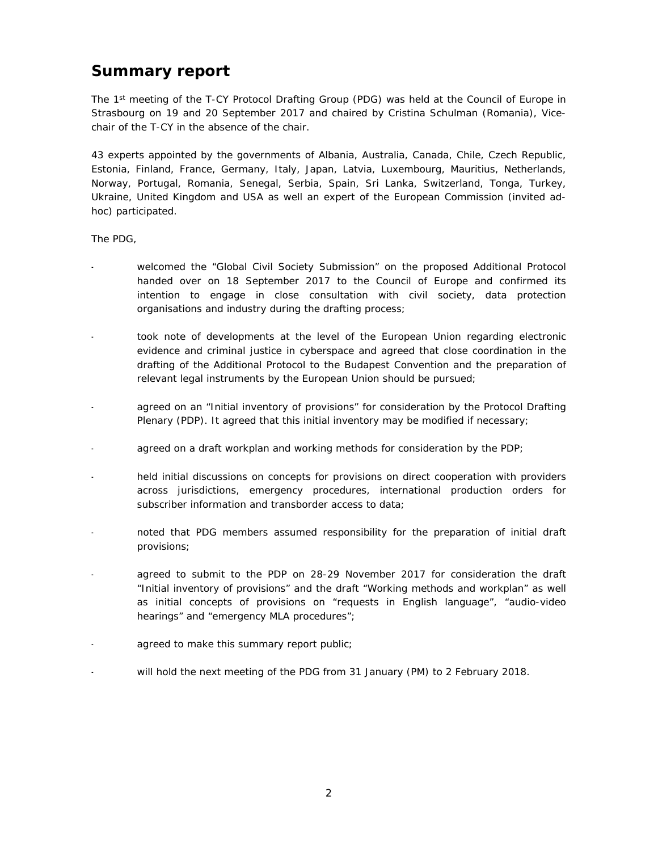## **Summary report**

The 1<sup>st</sup> meeting of the T-CY Protocol Drafting Group (PDG) was held at the Council of Europe in Strasbourg on 19 and 20 September 2017 and chaired by Cristina Schulman (Romania), Vicechair of the T-CY in the absence of the chair.

43 experts appointed by the governments of Albania, Australia, Canada, Chile, Czech Republic, Estonia, Finland, France, Germany, Italy, Japan, Latvia, Luxembourg, Mauritius, Netherlands, Norway, Portugal, Romania, Senegal, Serbia, Spain, Sri Lanka, Switzerland, Tonga, Turkey, Ukraine, United Kingdom and USA as well an expert of the European Commission (invited adhoc) participated.

The PDG,

- welcomed the "Global Civil Society Submission" on the proposed Additional Protocol handed over on 18 September 2017 to the Council of Europe and confirmed its intention to engage in close consultation with civil society, data protection organisations and industry during the drafting process;
- took note of developments at the level of the European Union regarding electronic evidence and criminal justice in cyberspace and agreed that close coordination in the drafting of the Additional Protocol to the Budapest Convention and the preparation of relevant legal instruments by the European Union should be pursued;
- agreed on an "Initial inventory of provisions" for consideration by the Protocol Drafting Plenary (PDP). It agreed that this initial inventory may be modified if necessary;
- agreed on a draft workplan and working methods for consideration by the PDP;
- held initial discussions on concepts for provisions on direct cooperation with providers across jurisdictions, emergency procedures, international production orders for subscriber information and transborder access to data;
- noted that PDG members assumed responsibility for the preparation of initial draft provisions;
- agreed to submit to the PDP on 28-29 November 2017 for consideration the draft "Initial inventory of provisions" and the draft "Working methods and workplan" as well as initial concepts of provisions on "requests in English language", "audio-video hearings" and "emergency MLA procedures";
- agreed to make this summary report public;
- will hold the next meeting of the PDG from 31 January (PM) to 2 February 2018.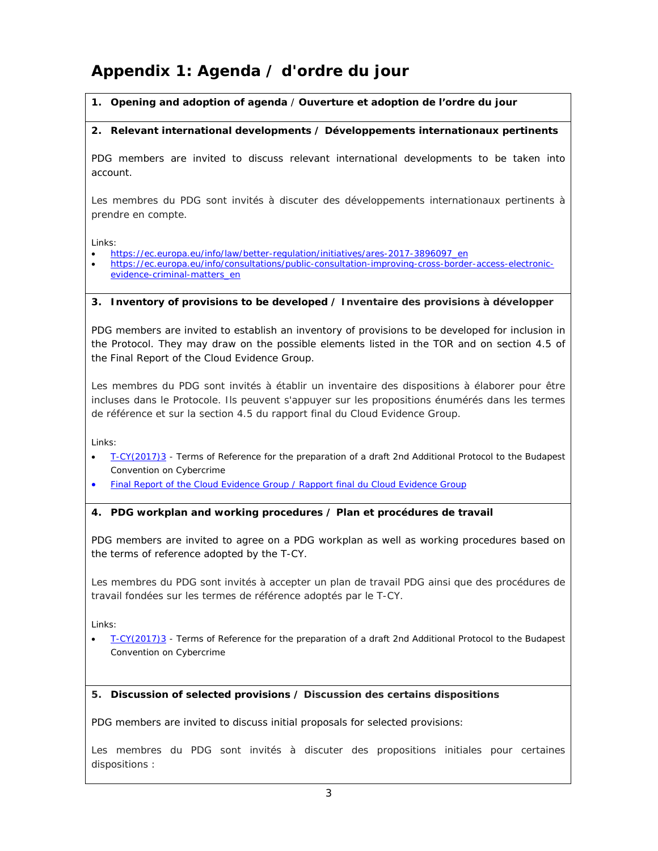# **Appendix 1: Agenda / d'ordre du jour**

*1.* **Opening and adoption of agenda** / *Ouverture et adoption de l'ordre du jour*

*2.* **Relevant international developments /** *Développements internationaux pertinents*

PDG members are invited to discuss relevant international developments to be taken into account.

*Les membres du PDG sont invités à discuter des développements internationaux pertinents à prendre en compte.*

Links:

- [https://ec.europa.eu/info/law/better-regulation/initiatives/ares-2017-3896097\\_en](https://ec.europa.eu/info/law/better-regulation/initiatives/ares-2017-3896097_en)
- [https://ec.europa.eu/info/consultations/public-consultation-improving-cross-border-access-electronic](https://ec.europa.eu/info/consultations/public-consultation-improving-cross-border-access-electronic-evidence-criminal-matters_en)[evidence-criminal-matters\\_en](https://ec.europa.eu/info/consultations/public-consultation-improving-cross-border-access-electronic-evidence-criminal-matters_en)
- *3.* **Inventory of provisions to be developed /** *Inventaire des provisions à développer*

PDG members are invited to establish an inventory of provisions to be developed for inclusion in the Protocol. They may draw on the possible elements listed in the TOR and on section 4.5 of the Final Report of the Cloud Evidence Group.

Les membres du PDG sont invités à établir un inventaire des dispositions à élaborer pour être *incluses dans le Protocole. Ils peuvent s'appuyer sur les propositions énumérés dans les termes de référence et sur la section 4.5 du rapport final du Cloud Evidence Group.*

Links:

- [T-CY\(2017\)3](http://rm.coe.int/terms-of-reference-for-the-preparation-of-a-draft-2nd-additional-proto/168072362b)  Terms of Reference for the preparation of a draft 2nd Additional Protocol to the Budapest Convention on Cybercrime
- [Final Report of the Cloud Evidence Group](https://rm.coe.int/16806a495e) / [Rapport final du Cloud Evidence Group](https://rm.coe.int/16806b51cb)
- *4.* **PDG workplan and working procedures /** *Plan et procédures de travail*

PDG members are invited to agree on a PDG workplan as well as working procedures based on the terms of reference adopted by the T-CY.

Les membres du PDG sont invités à accepter un plan de travail PDG ainsi que des procédures de *travail fondées sur les termes de référence adoptés par le T-CY.*

Links:

 [T-CY\(2017\)3](http://rm.coe.int/terms-of-reference-for-the-preparation-of-a-draft-2nd-additional-proto/168072362b) - Terms of Reference for the preparation of a draft 2nd Additional Protocol to the Budapest Convention on Cybercrime

*5.* **Discussion of selected provisions /** *Discussion des certains dispositions*

PDG members are invited to discuss initial proposals for selected provisions:

Les membres du PDG sont invités à discuter des propositions initiales pour certaines *dispositions :*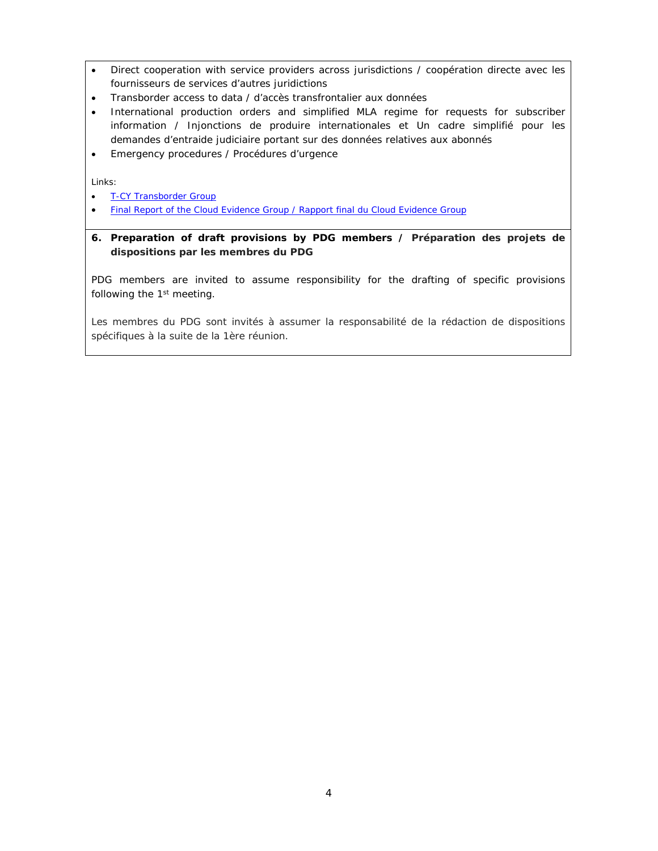- Direct cooperation with service providers across jurisdictions / *coopération directe avec les fournisseurs de services d'autres juridictions*
- Transborder access to data / *d'accès transfrontalier aux données*
- International production orders and simplified MLA regime for requests for subscriber information / *Injonctions de produire internationales et Un cadre simplifié pour les demandes d'entraide judiciaire portant sur des données relatives aux abonnés*
- Emergency procedures / *Procédures d'urgence*

Links:

- [T-CY Transborder Group](http://www.coe.int/en/web/cybercrime/tb)
- [Final Report of the Cloud Evidence Group](https://rm.coe.int/16806a495e) / [Rapport final du Cloud Evidence Group](https://rm.coe.int/16806b51cb)
- **6. Preparation of draft provisions by PDG members /** *Préparation des projets de dispositions par les membres du PDG*

PDG members are invited to assume responsibility for the drafting of specific provisions following the 1<sup>st</sup> meeting.

*Les membres du PDG sont invités à assumer la responsabilité de la rédaction de dispositions spécifiques à la suite de la 1ère réunion.*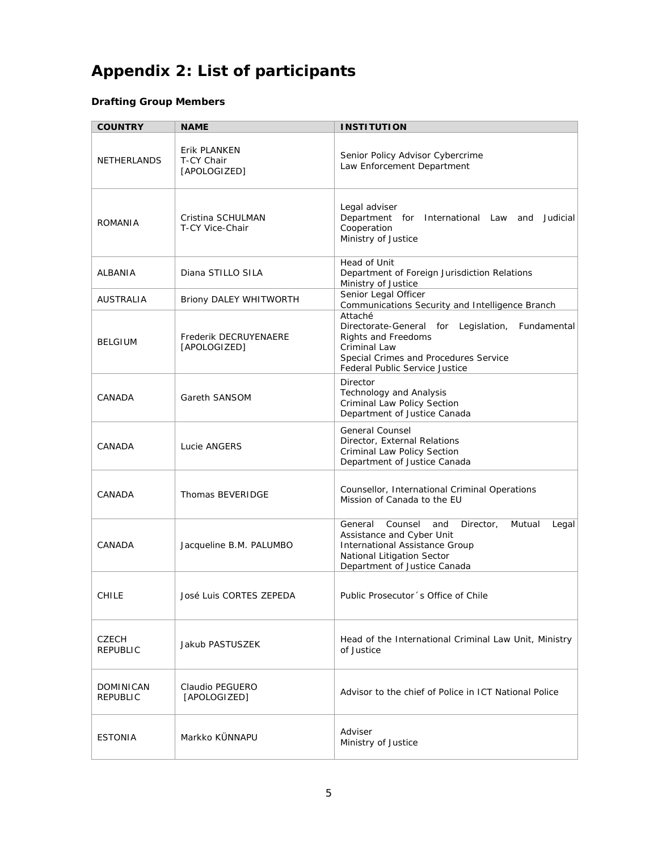# **Appendix 2: List of participants**

### **Drafting Group Members**

| <b>COUNTRY</b>           | <b>NAME</b>                                | <b>INSTITUTION</b>                                                                                                                                                                     |
|--------------------------|--------------------------------------------|----------------------------------------------------------------------------------------------------------------------------------------------------------------------------------------|
| NETHERLANDS              | Erik PLANKEN<br>T-CY Chair<br>[APOLOGIZED] | Senior Policy Advisor Cybercrime<br>Law Enforcement Department                                                                                                                         |
| ROMANIA                  | Cristina SCHULMAN<br>T-CY Vice-Chair       | Legal adviser<br>Department for International Law and Judicial<br>Cooperation<br>Ministry of Justice                                                                                   |
| ALBANIA                  | Diana STILLO SILA                          | Head of Unit<br>Department of Foreign Jurisdiction Relations<br>Ministry of Justice                                                                                                    |
| <b>AUSTRALIA</b>         | Briony DALEY WHITWORTH                     | Senior Legal Officer<br>Communications Security and Intelligence Branch                                                                                                                |
| <b>BELGIUM</b>           | Frederik DECRUYENAERE<br>[APOLOGIZED]      | Attaché<br>Directorate-General for<br>Legislation,<br>Fundamental<br>Rights and Freedoms<br>Criminal Law<br>Special Crimes and Procedures Service<br>Federal Public Service Justice    |
| CANADA                   | Gareth SANSOM                              | Director<br>Technology and Analysis<br>Criminal Law Policy Section<br>Department of Justice Canada                                                                                     |
| CANADA                   | Lucie ANGERS                               | <b>General Counsel</b><br>Director, External Relations<br>Criminal Law Policy Section<br>Department of Justice Canada                                                                  |
| CANADA                   | Thomas BEVERIDGE                           | Counsellor, International Criminal Operations<br>Mission of Canada to the EU                                                                                                           |
| CANADA                   | Jacqueline B.M. PALUMBO                    | General<br>Counsel<br>and<br>Director,<br>Mutual<br>Legal<br>Assistance and Cyber Unit<br>International Assistance Group<br>National Litigation Sector<br>Department of Justice Canada |
| <b>CHILE</b>             | José Luis CORTES ZEPEDA                    | Public Prosecutor's Office of Chile                                                                                                                                                    |
| CZECH<br><b>REPUBLIC</b> | Jakub PASTUSZEK                            | Head of the International Criminal Law Unit, Ministry<br>of Justice                                                                                                                    |
| DOMINICAN<br>REPUBLIC    | Claudio PEGUERO<br>[APOLOGIZED]            | Advisor to the chief of Police in ICT National Police                                                                                                                                  |
| <b>ESTONIA</b>           | Markko KÜNNAPU                             | Adviser<br>Ministry of Justice                                                                                                                                                         |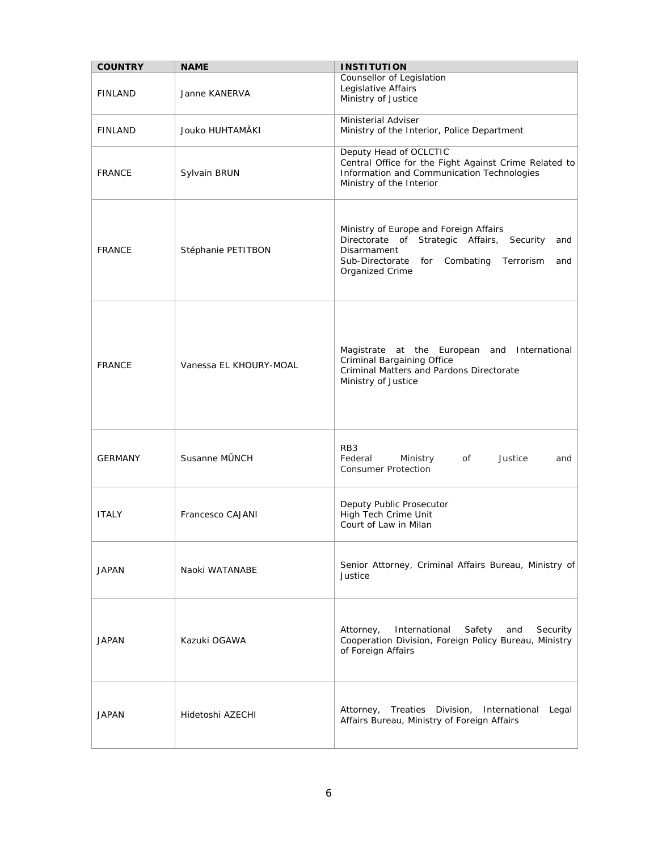| <b>COUNTRY</b> | <b>NAME</b>            | <b>INSTITUTION</b>                                                                                                                                                                          |
|----------------|------------------------|---------------------------------------------------------------------------------------------------------------------------------------------------------------------------------------------|
| <b>FINLAND</b> | Janne KANERVA          | Counsellor of Legislation<br>Legislative Affairs<br>Ministry of Justice                                                                                                                     |
| <b>FINLAND</b> | Jouko HUHTAMÄKI        | Ministerial Adviser<br>Ministry of the Interior, Police Department                                                                                                                          |
| <b>FRANCE</b>  | Sylvain BRUN           | Deputy Head of OCLCTIC<br>Central Office for the Fight Against Crime Related to<br>Information and Communication Technologies<br>Ministry of the Interior                                   |
| <b>FRANCE</b>  | Stéphanie PETITBON     | Ministry of Europe and Foreign Affairs<br>Directorate of Strategic Affairs,<br>Security<br>and<br>Disarmament<br>Sub-Directorate<br>Combating<br>Terrorism<br>for<br>and<br>Organized Crime |
| <b>FRANCE</b>  | Vanessa EL KHOURY-MOAL | Magistrate at the European and International<br>Criminal Bargaining Office<br>Criminal Matters and Pardons Directorate<br>Ministry of Justice                                               |
| <b>GERMANY</b> | Susanne MÜNCH          | RB <sub>3</sub><br>Federal<br>Ministry<br>of<br>Justice<br>and<br><b>Consumer Protection</b>                                                                                                |
| <b>ITALY</b>   | Francesco CAJANI       | Deputy Public Prosecutor<br>High Tech Crime Unit<br>Court of Law in Milan                                                                                                                   |
| <b>JAPAN</b>   | Naoki WATANABE         | Senior Attorney, Criminal Affairs Bureau, Ministry of<br>Justice                                                                                                                            |
| <b>JAPAN</b>   | Kazuki OGAWA           | International<br>Attorney,<br>Safety<br>and<br>Security<br>Cooperation Division, Foreign Policy Bureau, Ministry<br>of Foreign Affairs                                                      |
| JAPAN          | Hidetoshi AZECHI       | Attorney,<br>Treaties Division, International<br>Legal<br>Affairs Bureau, Ministry of Foreign Affairs                                                                                       |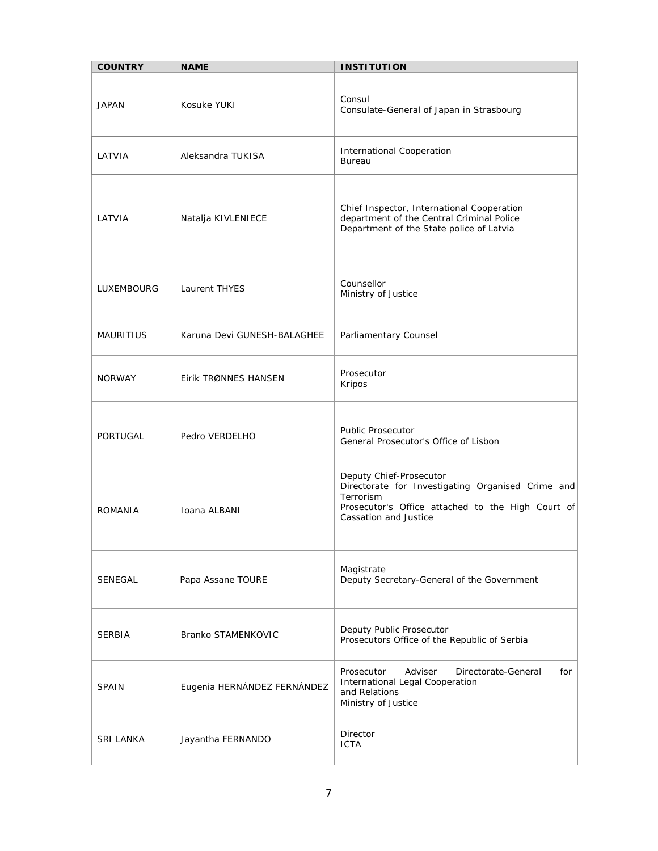| <b>COUNTRY</b>   | <b>NAME</b>                 | <b>INSTITUTION</b>                                                                                                                                                      |
|------------------|-----------------------------|-------------------------------------------------------------------------------------------------------------------------------------------------------------------------|
| <b>JAPAN</b>     | Kosuke YUKI                 | Consul<br>Consulate-General of Japan in Strasbourg                                                                                                                      |
| LATVIA           | Aleksandra TUKISA           | International Cooperation<br><b>Bureau</b>                                                                                                                              |
| LATVIA           | Natalja KIVLENIECE          | Chief Inspector, International Cooperation<br>department of the Central Criminal Police<br>Department of the State police of Latvia                                     |
| LUXEMBOURG       | Laurent THYES               | Counsellor<br>Ministry of Justice                                                                                                                                       |
| <b>MAURITIUS</b> | Karuna Devi GUNESH-BALAGHEE | Parliamentary Counsel                                                                                                                                                   |
| <b>NORWAY</b>    | Eirik TRØNNES HANSEN        | Prosecutor<br>Kripos                                                                                                                                                    |
| PORTUGAL         | Pedro VERDELHO              | <b>Public Prosecutor</b><br>General Prosecutor's Office of Lisbon                                                                                                       |
| ROMANIA          | Ioana ALBANI                | Deputy Chief-Prosecutor<br>Directorate for Investigating Organised Crime and<br>Terrorism<br>Prosecutor's Office attached to the High Court of<br>Cassation and Justice |
| SENEGAL          | Papa Assane TOURE           | Magistrate<br>Deputy Secretary-General of the Government                                                                                                                |
| <b>SERBIA</b>    | Branko STAMENKOVIC          | Deputy Public Prosecutor<br>Prosecutors Office of the Republic of Serbia                                                                                                |
| <b>SPAIN</b>     | Eugenia HERNÁNDEZ FERNÁNDEZ | Prosecutor<br>Adviser<br>Directorate-General<br>for<br>International Legal Cooperation<br>and Relations<br>Ministry of Justice                                          |
| SRI LANKA        | Jayantha FERNANDO           | Director<br><b>ICTA</b>                                                                                                                                                 |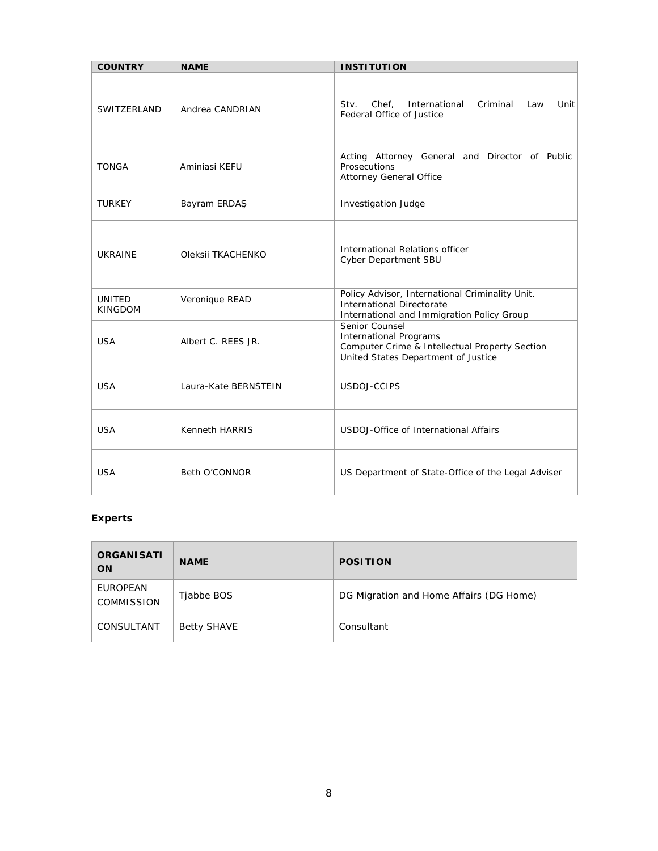| <b>COUNTRY</b>                  | <b>NAME</b>          | <b>INSTITUTION</b>                                                                                                                       |
|---------------------------------|----------------------|------------------------------------------------------------------------------------------------------------------------------------------|
| SWITZERLAND                     | Andrea CANDRIAN      | Chef, International<br>Criminal<br>Unit<br>Stv.<br>Law<br>Federal Office of Justice                                                      |
| <b>TONGA</b>                    | Aminiasi KEFU        | Acting Attorney General and Director of Public<br>Prosecutions<br>Attorney General Office                                                |
| <b>TURKEY</b>                   | Bayram ERDAS         | <b>Investigation Judge</b>                                                                                                               |
| <b>UKRAINE</b>                  | Oleksii TKACHENKO    | International Relations officer<br>Cyber Department SBU                                                                                  |
| <b>UNITED</b><br><b>KINGDOM</b> | Veronique READ       | Policy Advisor, International Criminality Unit.<br>International Directorate<br>International and Immigration Policy Group               |
| <b>USA</b>                      | Albert C. REES JR.   | Senior Counsel<br><b>International Programs</b><br>Computer Crime & Intellectual Property Section<br>United States Department of Justice |
| <b>USA</b>                      | Laura-Kate BERNSTEIN | USDOJ-CCIPS                                                                                                                              |
| <b>USA</b>                      | Kenneth HARRIS       | USDOJ-Office of International Affairs                                                                                                    |
| <b>USA</b>                      | Beth O'CONNOR        | US Department of State-Office of the Legal Adviser                                                                                       |

### **Experts**

| ORGANI SATI<br><b>ON</b>      | <b>NAME</b>        | <b>POSITION</b>                         |
|-------------------------------|--------------------|-----------------------------------------|
| EUROPEAN<br><b>COMMISSION</b> | Tjabbe BOS         | DG Migration and Home Affairs (DG Home) |
| CONSULTANT                    | <b>Betty SHAVE</b> | Consultant                              |